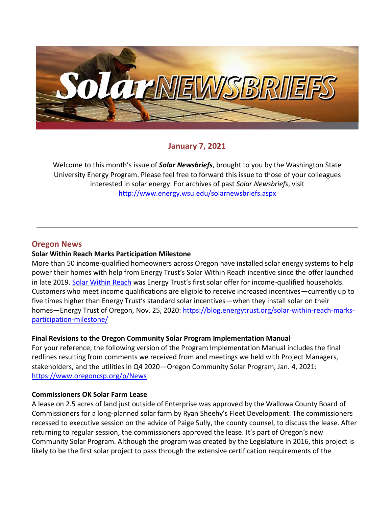

### **January 7, 2021**

Welcome to this month's issue of *Solar Newsbriefs*, brought to you by the Washington State University Energy Program. Please feel free to forward this issue to those of your colleagues interested in solar energy. For archives of past *Solar Newsbriefs*, visit <http://www.energy.wsu.edu/solarnewsbriefs.aspx>

### **Oregon News**

#### **Solar Within Reach Marks Participation Milestone**

More than 50 income-qualified homeowners across Oregon have installed solar energy systems to help power their homes with help from Energy Trust's Solar Within Reach incentive since the [offer launched](https://blog.energytrust.org/energy-trust-launches-income-qualified-solar-within-reach-incentives/)  [in late 2019.](https://blog.energytrust.org/energy-trust-launches-income-qualified-solar-within-reach-incentives/) [Solar Within Reach](https://www.energytrust.org/incentives/solar-within-reach/) was Energy Trust's first solar offer for income-qualified households. Customers who meet income qualifications are eligible to receive increased incentives—currently up to five times higher than Energy Trust's standard solar incentives—when they install solar on their homes—Energy Trust of Oregon, Nov. 25, 2020: [https://blog.energytrust.org/solar-within-reach-marks](https://blog.energytrust.org/solar-within-reach-marks-participation-milestone/)[participation-milestone/](https://blog.energytrust.org/solar-within-reach-marks-participation-milestone/)

#### **Final Revisions to the Oregon Community Solar Program Implementation Manual**

For your reference, the following version of the Program Implementation Manual includes the final redlines resulting from comments we received from and meetings we held with Project Managers, stakeholders, and the utilities in Q4 2020—Oregon Community Solar Program, Jan. 4, 2021: <https://www.oregoncsp.org/p/News>

#### **Commissioners OK Solar Farm Lease**

A lease on 2.5 acres of land just outside of Enterprise was approved by the Wallowa County Board of Commissioners for a long-planned solar farm by Ryan Sheehy's Fleet Development. The commissioners recessed to executive session on the advice of Paige Sully, the county counsel, to discuss the lease. After returning to regular session, the commissioners approved the lease. It's part of Oregon's new Community Solar Program. Although the program was created by the Legislature in 2016, this project is likely to be the first solar project to pass through the extensive certification requirements of the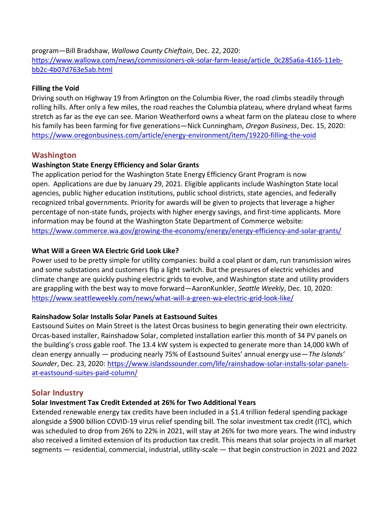program—Bill Bradshaw, *Wallowa County Chieftain*, Dec. 22, 2020: [https://www.wallowa.com/news/commissioners-ok-solar-farm-lease/article\\_0c285a6a-4165-11eb](https://www.wallowa.com/news/commissioners-ok-solar-farm-lease/article_0c285a6a-4165-11eb-bb2c-4b07d763e5ab.html)[bb2c-4b07d763e5ab.html](https://www.wallowa.com/news/commissioners-ok-solar-farm-lease/article_0c285a6a-4165-11eb-bb2c-4b07d763e5ab.html) 

### **Filling the Void**

Driving south on Highway 19 from Arlington on the Columbia River, the road climbs steadily through rolling hills. After only a few miles, the road reaches the Columbia plateau, where dryland wheat farms stretch as far as the eye can see. Marion Weatherford owns a wheat farm on the plateau close to where his family has been farming for five generations—Nick Cunningham, *Oregon Business*, Dec. 15, 2020: <https://www.oregonbusiness.com/article/energy-environment/item/19220-filling-the-void>

## **Washington**

### **Washington State Energy Efficiency and Solar Grants**

The application period for the Washington State Energy Efficiency Grant Program is now open. Applications are due by January 29, 2021. Eligible applicants include Washington State local agencies, public higher education institutions, public school districts, state agencies, and federally recognized tribal governments. Priority for awards will be given to projects that leverage a higher percentage of non-state funds, projects with higher energy savings, and first-time applicants. More information may be found at the Washington State Department of Commerce website: <https://www.commerce.wa.gov/growing-the-economy/energy/energy-efficiency-and-solar-grants/>

### **What Will a Green WA Electric Grid Look Like?**

Power used to be pretty simple for utility companies: build a coal plant or dam, run transmission wires and some substations and customers flip a light switch. But the pressures of electric vehicles and climate change are quickly pushing electric grids to evolve, and Washington state and utility providers are grappling with the best way to move forward—AaronKunkler, *Seattle Weekly*, Dec. 10, 2020: <https://www.seattleweekly.com/news/what-will-a-green-wa-electric-grid-look-like/>

#### **Rainshadow Solar Installs Solar Panels at Eastsound Suites**

Eastsound Suites on Main Street is the latest Orcas business to begin generating their own electricity. Orcas-based installer, Rainshadow Solar, completed installation earlier this month of 34 PV panels on the building's cross gable roof. The 13.4 kW system is expected to generate more than 14,000 kWh of clean energy annually — producing nearly 75% of Eastsound Suites' annual energy use—*The Islands' Sounder*, Dec. 23, 2020: [https://www.islandssounder.com/life/rainshadow-solar-installs-solar-panels](https://www.islandssounder.com/life/rainshadow-solar-installs-solar-panels-at-eastsound-suites-paid-column/)[at-eastsound-suites-paid-column/](https://www.islandssounder.com/life/rainshadow-solar-installs-solar-panels-at-eastsound-suites-paid-column/)

### **Solar Industry**

#### **Solar Investment Tax Credit Extended at 26% for Two Additional Years**

Extended renewable energy tax credits have been included in a \$1.4 trillion federal spending package alongside a \$900 billion COVID-19 virus relief spending bill. The solar investment tax credit (ITC), which was scheduled to drop from 26% to 22% in 2021, will stay at 26% for two more years. The wind industry also received a limited extension of its production tax credit. This means that solar projects in all market segments — residential, commercial, industrial, utility-scale — that begin construction in 2021 and 2022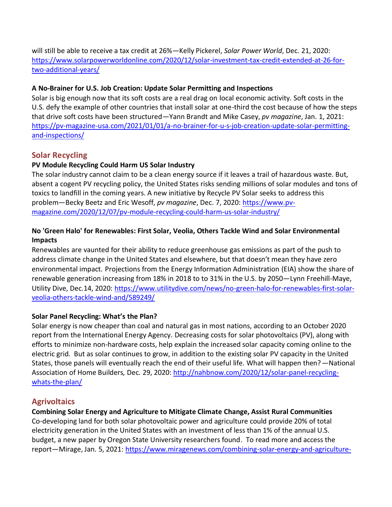will still be able to receive a tax credit at 26%—Kelly Pickerel, *Solar Power World*, Dec. 21, 2020: [https://www.solarpowerworldonline.com/2020/12/solar-investment-tax-credit-extended-at-26-for](https://www.solarpowerworldonline.com/2020/12/solar-investment-tax-credit-extended-at-26-for-two-additional-years/)[two-additional-years/](https://www.solarpowerworldonline.com/2020/12/solar-investment-tax-credit-extended-at-26-for-two-additional-years/) 

## **A No-Brainer for U.S. Job Creation: Update Solar Permitting and Inspections**

Solar is big enough now that its soft costs are a real drag on local economic activity. Soft costs in the U.S. defy the example of other countries that install solar at one-third the cost because of how the steps that drive soft costs have been structured—Yann Brandt and Mike Casey, *pv magazine*, Jan. 1, 2021: [https://pv-magazine-usa.com/2021/01/01/a-no-brainer-for-u-s-job-creation-update-solar-permitting](https://pv-magazine-usa.com/2021/01/01/a-no-brainer-for-u-s-job-creation-update-solar-permitting-and-inspections/)[and-inspections/](https://pv-magazine-usa.com/2021/01/01/a-no-brainer-for-u-s-job-creation-update-solar-permitting-and-inspections/)

# **Solar Recycling**

## **PV Module Recycling Could Harm US Solar Industry**

The solar industry cannot claim to be a clean energy source if it leaves a trail of hazardous waste. But, absent a cogent PV recycling policy, the United States risks sending millions of solar modules and tons of toxics to landfill in the coming years. A new initiative by Recycle PV Solar seeks to address this problem—Becky Beetz and Eric Wesoff, *pv magazine*, Dec. 7, 2020: [https://www.pv](https://www.pv-magazine.com/2020/12/07/pv-module-recycling-could-harm-us-solar-industry/)[magazine.com/2020/12/07/pv-module-recycling-could-harm-us-solar-industry/](https://www.pv-magazine.com/2020/12/07/pv-module-recycling-could-harm-us-solar-industry/)

### **No 'Green Halo' for Renewables: First Solar, Veolia, Others Tackle Wind and Solar Environmental Impacts**

Renewables are vaunted for their ability to reduce greenhouse gas emissions as part of the push to address climate change in the United States and elsewhere, but that doesn't mean they have zero environmental impact. Projections [from the Energy Information Administration](https://www.eia.gov/outlooks/aeo/pdf/aeo2019.pdf) (EIA) show the share of renewable generation increasing from 18% in 2018 to to 31% in the U.S. by 2050—Lynn Freehill-Maye, Utility Dive, Dec.14, 2020: [https://www.utilitydive.com/news/no-green-halo-for-renewables-first-solar](https://www.utilitydive.com/news/no-green-halo-for-renewables-first-solar-veolia-others-tackle-wind-and/589249/)[veolia-others-tackle-wind-and/589249/](https://www.utilitydive.com/news/no-green-halo-for-renewables-first-solar-veolia-others-tackle-wind-and/589249/)

### **Solar Panel Recycling: What's the Plan?**

Solar energy is now cheaper than coal and natural gas in most nations, according to an October 2020 [report from the International Energy Agency.](https://www.iea.org/reports/world-energy-outlook-2020) Decreasing costs for solar photovoltaics (PV), along with efforts to minimize [non-hardware costs,](https://www.energy.gov/eere/articles/soft-costs-101-key-achieving-cheaper-solar-energy#:~:text=Soft%20costs%20are%20the%20non,and%20cover%20their%20bottom%20line.) help explain the increased solar capacity coming online to the electric grid. But as solar continues to grow, in addition to the existing solar PV capacity in the United States, those panels will eventually reach the end of their useful life. What will happen then?*—*National Association of Home Builders*,* Dec*.* 29, 2020: [http://nahbnow.com/2020/12/solar-panel-recycling](http://nahbnow.com/2020/12/solar-panel-recycling-whats-the-plan/)[whats-the-plan/](http://nahbnow.com/2020/12/solar-panel-recycling-whats-the-plan/)

## **Agrivoltaics**

**Combining Solar Energy and Agriculture to Mitigate Climate Change, Assist Rural Communities** Co-developing land for both solar photovoltaic power and agriculture could provide 20% of total electricity generation in the United States with an investment of less than 1% of the annual U.S. budget, [a new paper](https://www.mdpi.com/2071-1050/13/1/137?utm_source=miragenews&utm_medium=miragenews&utm_campaign=news) by Oregon State University researchers found. To read more and access the report—Mirage, Jan. 5, 2021: [https://www.miragenews.com/combining-solar-energy-and-agriculture-](https://www.miragenews.com/combining-solar-energy-and-agriculture-to-mitigate-climate-change-assist-rural-communities/)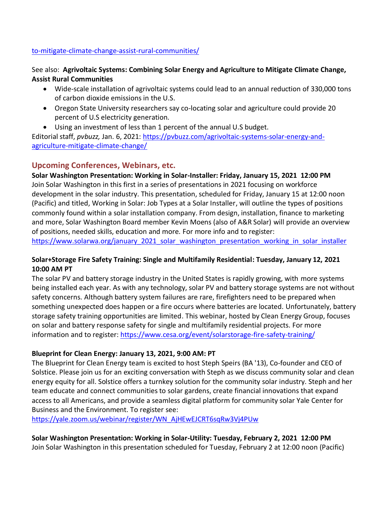### [to-mitigate-climate-change-assist-rural-communities/](https://www.miragenews.com/combining-solar-energy-and-agriculture-to-mitigate-climate-change-assist-rural-communities/)

See also: **Agrivoltaic Systems: Combining Solar Energy and Agriculture to Mitigate Climate Change, Assist Rural Communities**

- Wide-scale installation of agrivoltaic systems could lead to an annual reduction of 330,000 tons of carbon dioxide emissions in the U.S.
- Oregon State University researchers say co-locating solar and agriculture could provide 20 percent of U.S electricity generation.
- Using an investment of less than 1 percent of the annual U.S budget.

Editorial staff, *pvbuzz,* Jan. 6, 2021: [https://pvbuzz.com/agrivoltaic-systems-solar-energy-and](https://pvbuzz.com/agrivoltaic-systems-solar-energy-and-agriculture-mitigate-climate-change/)[agriculture-mitigate-climate-change/](https://pvbuzz.com/agrivoltaic-systems-solar-energy-and-agriculture-mitigate-climate-change/)

## **Upcoming Conferences, Webinars, etc.**

**[Solar Washington Presentation: Working in Solar-Installer:](https://www.solarwa.org/january_2021_solar_washington_presentation_working_in_solar_installer) Friday, January 15, 2021 12:00 PM** Join Solar Washington in this first in a series of presentations in 2021 focusing on workforce development in the solar industry. This presentation, scheduled for Friday, January 15 at 12:00 noon (Pacific) and titled, Working in Solar: Job Types at a Solar Installer, will outline the types of positions commonly found within a solar installation company. From design, installation, finance to marketing and more, Solar Washington Board member Kevin Moens (also of A&R Solar) will provide an overview of positions, needed skills, education and more. For more info and to register:

https://www.solarwa.org/january 2021 solar washington presentation working in solar installer

### **Solar+Storage Fire Safety Training: Single and Multifamily Residential: Tuesday, January 12, 2021 10:00 AM PT**

The solar PV and battery storage industry in the United States is rapidly growing, with more systems being installed each year. As with any technology, solar PV and battery storage systems are not without safety concerns. Although battery system failures are rare, firefighters need to be prepared when something unexpected does happen or a fire occurs where batteries are located. Unfortunately, battery storage safety training opportunities are limited. This webinar, hosted by Clean Energy Group, focuses on solar and battery response safety for single and multifamily residential projects. For more information and to register[: https://www.cesa.org/event/solarstorage-fire-safety-training/](https://www.cesa.org/event/solarstorage-fire-safety-training/)

### **Blueprint for Clean Energy: January 13, 2021, 9:00 AM: PT**

The Blueprint for Clean Energy team is excited to host Steph Speirs (BA '13), Co-founder and CEO of Solstice. Please join us for an exciting conversation with Steph as we discuss community solar and clean energy equity for all. Solstice offers a turnkey solution for the community solar industry. Steph and her team educate and connect communities to solar gardens, create financial innovations that expand access to all Americans, and provide a seamless digital platform for community solar Yale Center for Business and the Environment. To register see:

[https://yale.zoom.us/webinar/register/WN\\_AjHEwEJCRT6sqRw3Vj4PUw](https://yale.zoom.us/webinar/register/WN_AjHEwEJCRT6sqRw3Vj4PUw)

**[Solar Washington Presentation: Working in Solar-Utility:](https://www.solarwa.org/january_2021_solar_washington_presentation_working_in_solar_installer) Tuesday, February 2, 2021 12:00 PM** Join Solar Washington in this presentation scheduled for Tuesday, February 2 at 12:00 noon (Pacific)